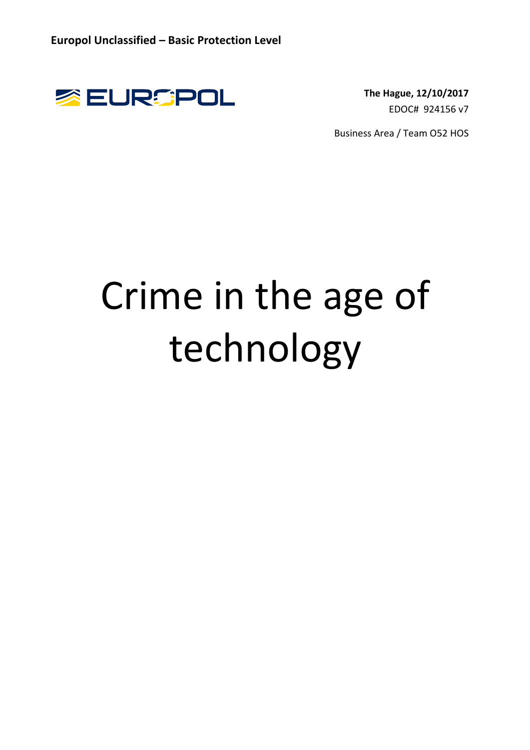

EDOC# 924156 v7

Business Area / Team O52 HOS

# Crime in the age of technology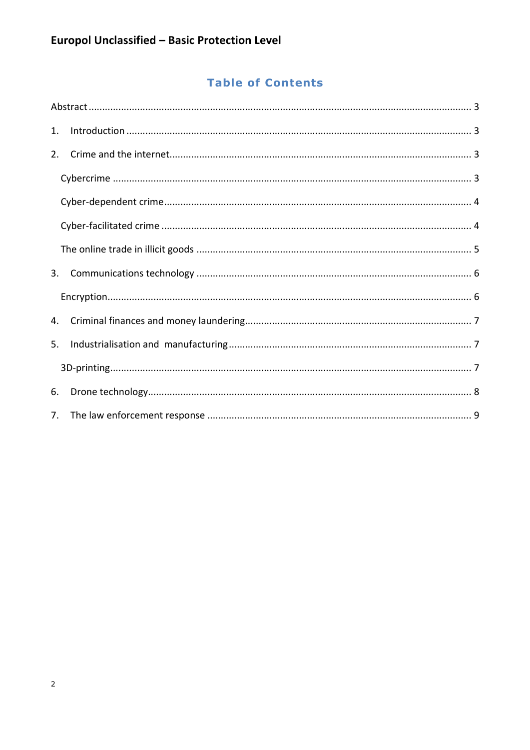# **Table of Contents**

| 1. |  |  |
|----|--|--|
| 2. |  |  |
|    |  |  |
|    |  |  |
|    |  |  |
|    |  |  |
| 3. |  |  |
|    |  |  |
| 4. |  |  |
| 5. |  |  |
|    |  |  |
| 6. |  |  |
| 7. |  |  |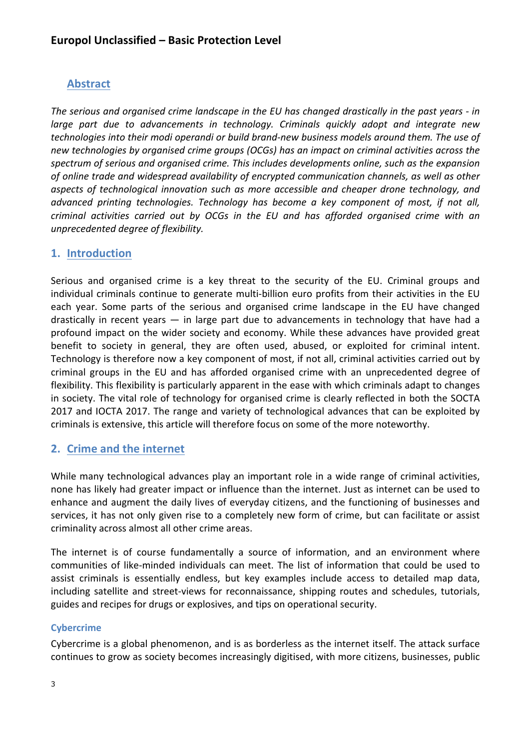## **Abstract**

The serious and organised crime landscape in the EU has changed drastically in the past years - in *large* part due to advancements in technology. Criminals quickly adopt and integrate new *technologies into their modi operandi or build brand-new business models around them. The use of* new technologies by organised crime groups (OCGs) has an impact on criminal activities across the spectrum of serious and organised crime. This includes developments online, such as the expansion of online trade and widespread availability of encrypted communication channels, as well as other aspects of technological innovation such as more accessible and cheaper drone technology, and *advanced printing technologies. Technology has become a key component of most, if not all, criminal activities carried out by OCGs in the EU and has afforded organised crime with an unprecedented degree of flexibility.* 

## **1. Introduction**

Serious and organised crime is a key threat to the security of the EU. Criminal groups and individual criminals continue to generate multi-billion euro profits from their activities in the EU each year. Some parts of the serious and organised crime landscape in the EU have changed drastically in recent years  $-$  in large part due to advancements in technology that have had a profound impact on the wider society and economy. While these advances have provided great benefit to society in general, they are often used, abused, or exploited for criminal intent. Technology is therefore now a key component of most, if not all, criminal activities carried out by criminal groups in the EU and has afforded organised crime with an unprecedented degree of flexibility. This flexibility is particularly apparent in the ease with which criminals adapt to changes in society. The vital role of technology for organised crime is clearly reflected in both the SOCTA 2017 and IOCTA 2017. The range and variety of technological advances that can be exploited by criminals is extensive, this article will therefore focus on some of the more noteworthy.

## **2. Crime and the internet**

While many technological advances play an important role in a wide range of criminal activities, none has likely had greater impact or influence than the internet. Just as internet can be used to enhance and augment the daily lives of everyday citizens, and the functioning of businesses and services, it has not only given rise to a completely new form of crime, but can facilitate or assist criminality across almost all other crime areas.

The internet is of course fundamentally a source of information, and an environment where communities of like-minded individuals can meet. The list of information that could be used to assist criminals is essentially endless, but key examples include access to detailed map data, including satellite and street-views for reconnaissance, shipping routes and schedules, tutorials, guides and recipes for drugs or explosives, and tips on operational security.

#### **Cybercrime**

Cybercrime is a global phenomenon, and is as borderless as the internet itself. The attack surface continues to grow as society becomes increasingly digitised, with more citizens, businesses, public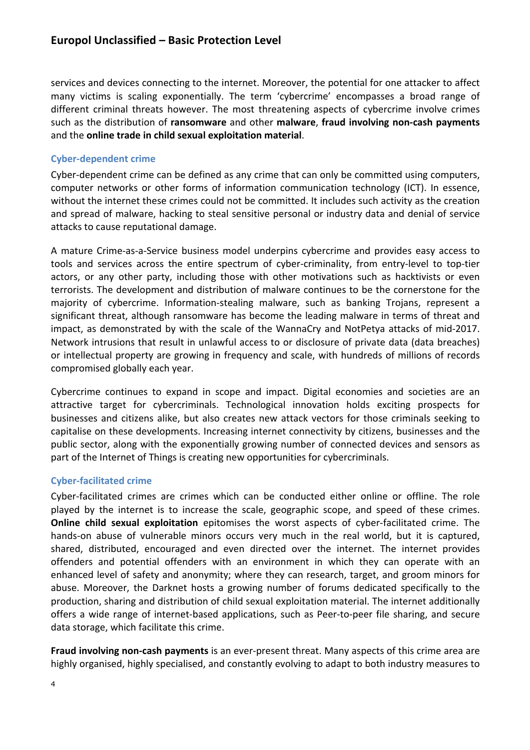services and devices connecting to the internet. Moreover, the potential for one attacker to affect many victims is scaling exponentially. The term 'cybercrime' encompasses a broad range of different criminal threats however. The most threatening aspects of cybercrime involve crimes such as the distribution of **ransomware** and other **malware**, **fraud involving non-cash payments** and the **online trade in child sexual exploitation material**.

#### **Cyber-dependent crime**

Cyber-dependent crime can be defined as any crime that can only be committed using computers, computer networks or other forms of information communication technology (ICT). In essence, without the internet these crimes could not be committed. It includes such activity as the creation and spread of malware, hacking to steal sensitive personal or industry data and denial of service attacks to cause reputational damage.

A mature Crime-as-a-Service business model underpins cybercrime and provides easy access to tools and services across the entire spectrum of cyber-criminality, from entry-level to top-tier actors, or any other party, including those with other motivations such as hacktivists or even terrorists. The development and distribution of malware continues to be the cornerstone for the majority of cybercrime. Information-stealing malware, such as banking Trojans, represent a significant threat, although ransomware has become the leading malware in terms of threat and impact, as demonstrated by with the scale of the WannaCry and NotPetya attacks of mid-2017. Network intrusions that result in unlawful access to or disclosure of private data (data breaches) or intellectual property are growing in frequency and scale, with hundreds of millions of records compromised globally each year.

Cybercrime continues to expand in scope and impact. Digital economies and societies are an attractive target for cybercriminals. Technological innovation holds exciting prospects for businesses and citizens alike, but also creates new attack vectors for those criminals seeking to capitalise on these developments. Increasing internet connectivity by citizens, businesses and the public sector, along with the exponentially growing number of connected devices and sensors as part of the Internet of Things is creating new opportunities for cybercriminals.

#### **Cyber-facilitated crime**

Cyber-facilitated crimes are crimes which can be conducted either online or offline. The role played by the internet is to increase the scale, geographic scope, and speed of these crimes. **Online child sexual exploitation** epitomises the worst aspects of cyber-facilitated crime. The hands-on abuse of vulnerable minors occurs very much in the real world, but it is captured, shared, distributed, encouraged and even directed over the internet. The internet provides offenders and potential offenders with an environment in which they can operate with an enhanced level of safety and anonymity; where they can research, target, and groom minors for abuse. Moreover, the Darknet hosts a growing number of forums dedicated specifically to the production, sharing and distribution of child sexual exploitation material. The internet additionally offers a wide range of internet-based applications, such as Peer-to-peer file sharing, and secure data storage, which facilitate this crime.

**Fraud involving non-cash payments** is an ever-present threat. Many aspects of this crime area are highly organised, highly specialised, and constantly evolving to adapt to both industry measures to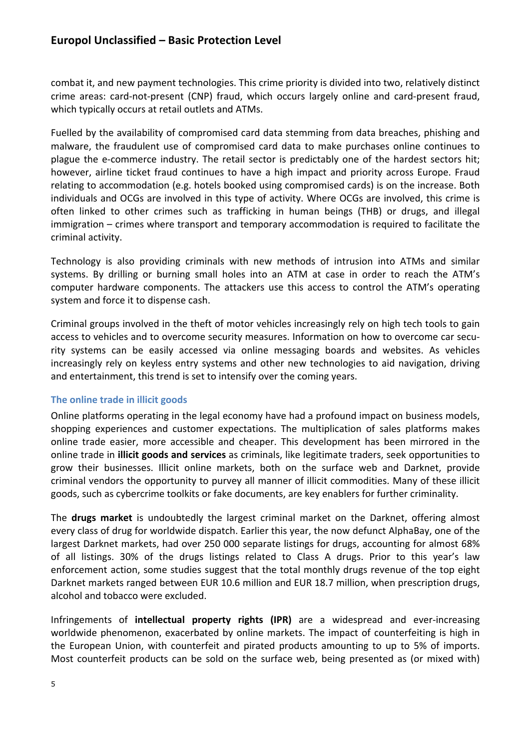combat it, and new payment technologies. This crime priority is divided into two, relatively distinct crime areas: card-not-present (CNP) fraud, which occurs largely online and card-present fraud, which typically occurs at retail outlets and ATMs.

Fuelled by the availability of compromised card data stemming from data breaches, phishing and malware, the fraudulent use of compromised card data to make purchases online continues to plague the e-commerce industry. The retail sector is predictably one of the hardest sectors hit; however, airline ticket fraud continues to have a high impact and priority across Europe. Fraud relating to accommodation (e.g. hotels booked using compromised cards) is on the increase. Both individuals and OCGs are involved in this type of activity. Where OCGs are involved, this crime is often linked to other crimes such as trafficking in human beings (THB) or drugs, and illegal immigration – crimes where transport and temporary accommodation is required to facilitate the criminal activity.

Technology is also providing criminals with new methods of intrusion into ATMs and similar systems. By drilling or burning small holes into an ATM at case in order to reach the ATM's computer hardware components. The attackers use this access to control the ATM's operating system and force it to dispense cash.

Criminal groups involved in the theft of motor vehicles increasingly rely on high tech tools to gain access to vehicles and to overcome security measures. Information on how to overcome car security systems can be easily accessed via online messaging boards and websites. As vehicles increasingly rely on keyless entry systems and other new technologies to aid navigation, driving and entertainment, this trend is set to intensify over the coming years.

#### **The online trade in illicit goods**

Online platforms operating in the legal economy have had a profound impact on business models, shopping experiences and customer expectations. The multiplication of sales platforms makes online trade easier, more accessible and cheaper. This development has been mirrored in the online trade in **illicit goods and services** as criminals, like legitimate traders, seek opportunities to grow their businesses. Illicit online markets, both on the surface web and Darknet, provide criminal vendors the opportunity to purvey all manner of illicit commodities. Many of these illicit goods, such as cybercrime toolkits or fake documents, are key enablers for further criminality.

The **drugs market** is undoubtedly the largest criminal market on the Darknet, offering almost every class of drug for worldwide dispatch. Earlier this year, the now defunct AlphaBay, one of the largest Darknet markets, had over 250 000 separate listings for drugs, accounting for almost 68% of all listings. 30% of the drugs listings related to Class A drugs. Prior to this year's law enforcement action, some studies suggest that the total monthly drugs revenue of the top eight Darknet markets ranged between EUR 10.6 million and EUR 18.7 million, when prescription drugs, alcohol and tobacco were excluded.

Infringements of **intellectual property rights (IPR)** are a widespread and ever-increasing worldwide phenomenon, exacerbated by online markets. The impact of counterfeiting is high in the European Union, with counterfeit and pirated products amounting to up to 5% of imports. Most counterfeit products can be sold on the surface web, being presented as (or mixed with)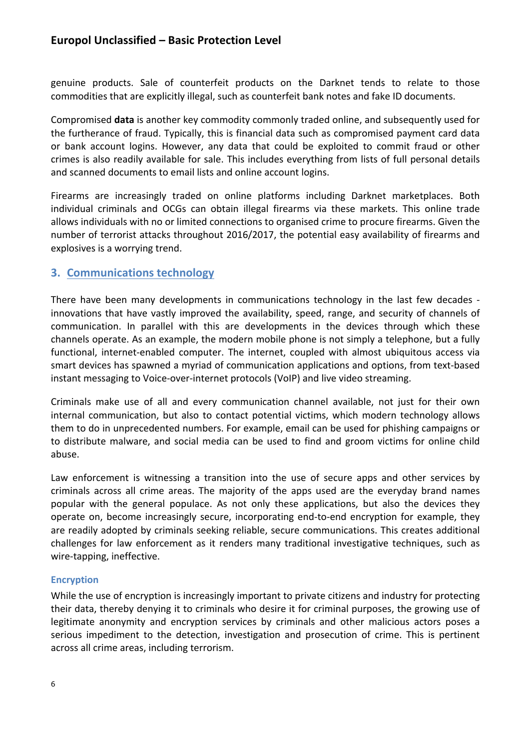genuine products. Sale of counterfeit products on the Darknet tends to relate to those commodities that are explicitly illegal, such as counterfeit bank notes and fake ID documents.

Compromised **data** is another key commodity commonly traded online, and subsequently used for the furtherance of fraud. Typically, this is financial data such as compromised payment card data or bank account logins. However, any data that could be exploited to commit fraud or other crimes is also readily available for sale. This includes everything from lists of full personal details and scanned documents to email lists and online account logins.

Firearms are increasingly traded on online platforms including Darknet marketplaces. Both individual criminals and OCGs can obtain illegal firearms via these markets. This online trade allows individuals with no or limited connections to organised crime to procure firearms. Given the number of terrorist attacks throughout 2016/2017, the potential easy availability of firearms and explosives is a worrying trend.

#### **3. Communications technology**

There have been many developments in communications technology in the last few decades innovations that have vastly improved the availability, speed, range, and security of channels of communication. In parallel with this are developments in the devices through which these channels operate. As an example, the modern mobile phone is not simply a telephone, but a fully functional, internet-enabled computer. The internet, coupled with almost ubiquitous access via smart devices has spawned a myriad of communication applications and options, from text-based instant messaging to Voice-over-internet protocols (VoIP) and live video streaming.

Criminals make use of all and every communication channel available, not just for their own internal communication, but also to contact potential victims, which modern technology allows them to do in unprecedented numbers. For example, email can be used for phishing campaigns or to distribute malware, and social media can be used to find and groom victims for online child abuse.

Law enforcement is witnessing a transition into the use of secure apps and other services by criminals across all crime areas. The majority of the apps used are the everyday brand names popular with the general populace. As not only these applications, but also the devices they operate on, become increasingly secure, incorporating end-to-end encryption for example, they are readily adopted by criminals seeking reliable, secure communications. This creates additional challenges for law enforcement as it renders many traditional investigative techniques, such as wire-tapping, ineffective.

#### **Encryption**

While the use of encryption is increasingly important to private citizens and industry for protecting their data, thereby denying it to criminals who desire it for criminal purposes, the growing use of legitimate anonymity and encryption services by criminals and other malicious actors poses a serious impediment to the detection, investigation and prosecution of crime. This is pertinent across all crime areas, including terrorism.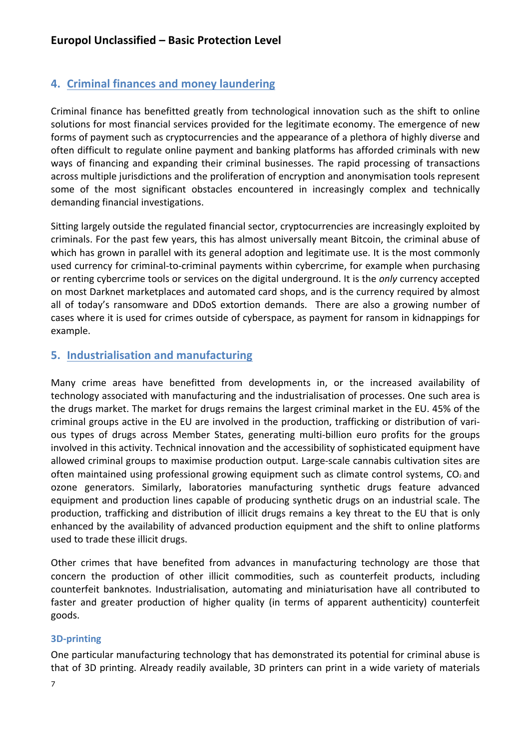# **4. Criminal finances and money laundering**

Criminal finance has benefitted greatly from technological innovation such as the shift to online solutions for most financial services provided for the legitimate economy. The emergence of new forms of payment such as cryptocurrencies and the appearance of a plethora of highly diverse and often difficult to regulate online payment and banking platforms has afforded criminals with new ways of financing and expanding their criminal businesses. The rapid processing of transactions across multiple jurisdictions and the proliferation of encryption and anonymisation tools represent some of the most significant obstacles encountered in increasingly complex and technically demanding financial investigations.

Sitting largely outside the regulated financial sector, cryptocurrencies are increasingly exploited by criminals. For the past few years, this has almost universally meant Bitcoin, the criminal abuse of which has grown in parallel with its general adoption and legitimate use. It is the most commonly used currency for criminal-to-criminal payments within cybercrime, for example when purchasing or renting cybercrime tools or services on the digital underground. It is the *only* currency accepted on most Darknet marketplaces and automated card shops, and is the currency required by almost all of today's ransomware and DDoS extortion demands. There are also a growing number of cases where it is used for crimes outside of cyberspace, as payment for ransom in kidnappings for example.

## **5. Industrialisation and manufacturing**

Many crime areas have benefitted from developments in, or the increased availability of technology associated with manufacturing and the industrialisation of processes. One such area is the drugs market. The market for drugs remains the largest criminal market in the EU. 45% of the criminal groups active in the EU are involved in the production, trafficking or distribution of various types of drugs across Member States, generating multi-billion euro profits for the groups involved in this activity. Technical innovation and the accessibility of sophisticated equipment have allowed criminal groups to maximise production output. Large-scale cannabis cultivation sites are often maintained using professional growing equipment such as climate control systems,  $CO<sub>2</sub>$  and ozone generators. Similarly, laboratories manufacturing synthetic drugs feature advanced equipment and production lines capable of producing synthetic drugs on an industrial scale. The production, trafficking and distribution of illicit drugs remains a key threat to the EU that is only enhanced by the availability of advanced production equipment and the shift to online platforms used to trade these illicit drugs.

Other crimes that have benefited from advances in manufacturing technology are those that concern the production of other illicit commodities, such as counterfeit products, including counterfeit banknotes. Industrialisation, automating and miniaturisation have all contributed to faster and greater production of higher quality (in terms of apparent authenticity) counterfeit goods.

## **3D-printing**

One particular manufacturing technology that has demonstrated its potential for criminal abuse is that of 3D printing. Already readily available, 3D printers can print in a wide variety of materials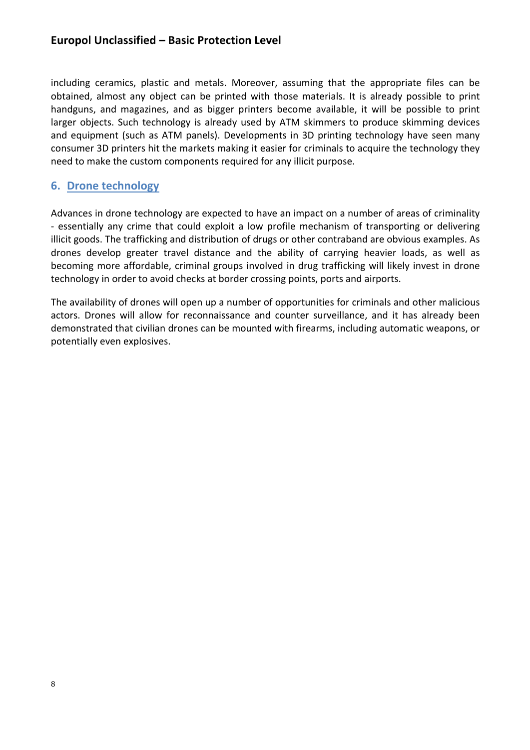including ceramics, plastic and metals. Moreover, assuming that the appropriate files can be obtained, almost any object can be printed with those materials. It is already possible to print handguns, and magazines, and as bigger printers become available, it will be possible to print larger objects. Such technology is already used by ATM skimmers to produce skimming devices and equipment (such as ATM panels). Developments in 3D printing technology have seen many consumer 3D printers hit the markets making it easier for criminals to acquire the technology they need to make the custom components required for any illicit purpose.

## **6. Drone technology**

Advances in drone technology are expected to have an impact on a number of areas of criminality - essentially any crime that could exploit a low profile mechanism of transporting or delivering illicit goods. The trafficking and distribution of drugs or other contraband are obvious examples. As drones develop greater travel distance and the ability of carrying heavier loads, as well as becoming more affordable, criminal groups involved in drug trafficking will likely invest in drone technology in order to avoid checks at border crossing points, ports and airports.

The availability of drones will open up a number of opportunities for criminals and other malicious actors. Drones will allow for reconnaissance and counter surveillance, and it has already been demonstrated that civilian drones can be mounted with firearms, including automatic weapons, or potentially even explosives.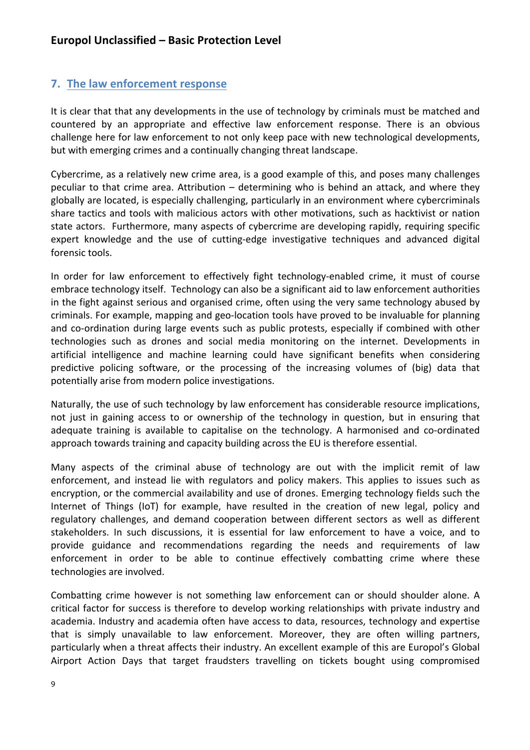## **7.** The law enforcement response

It is clear that that any developments in the use of technology by criminals must be matched and countered by an appropriate and effective law enforcement response. There is an obvious challenge here for law enforcement to not only keep pace with new technological developments, but with emerging crimes and a continually changing threat landscape.

Cybercrime, as a relatively new crime area, is a good example of this, and poses many challenges peculiar to that crime area. Attribution – determining who is behind an attack, and where they globally are located, is especially challenging, particularly in an environment where cybercriminals share tactics and tools with malicious actors with other motivations, such as hacktivist or nation state actors. Furthermore, many aspects of cybercrime are developing rapidly, requiring specific expert knowledge and the use of cutting-edge investigative techniques and advanced digital forensic tools.

In order for law enforcement to effectively fight technology-enabled crime, it must of course embrace technology itself. Technology can also be a significant aid to law enforcement authorities in the fight against serious and organised crime, often using the very same technology abused by criminals. For example, mapping and geo-location tools have proved to be invaluable for planning and co-ordination during large events such as public protests, especially if combined with other technologies such as drones and social media monitoring on the internet. Developments in artificial intelligence and machine learning could have significant benefits when considering predictive policing software, or the processing of the increasing volumes of (big) data that potentially arise from modern police investigations.

Naturally, the use of such technology by law enforcement has considerable resource implications, not just in gaining access to or ownership of the technology in question, but in ensuring that adequate training is available to capitalise on the technology. A harmonised and co-ordinated approach towards training and capacity building across the EU is therefore essential.

Many aspects of the criminal abuse of technology are out with the implicit remit of law enforcement, and instead lie with regulators and policy makers. This applies to issues such as encryption, or the commercial availability and use of drones. Emerging technology fields such the Internet of Things (IoT) for example, have resulted in the creation of new legal, policy and regulatory challenges, and demand cooperation between different sectors as well as different stakeholders. In such discussions, it is essential for law enforcement to have a voice, and to provide guidance and recommendations regarding the needs and requirements of law enforcement in order to be able to continue effectively combatting crime where these technologies are involved.

Combatting crime however is not something law enforcement can or should shoulder alone. A critical factor for success is therefore to develop working relationships with private industry and academia. Industry and academia often have access to data, resources, technology and expertise that is simply unavailable to law enforcement. Moreover, they are often willing partners, particularly when a threat affects their industry. An excellent example of this are Europol's Global Airport Action Days that target fraudsters travelling on tickets bought using compromised